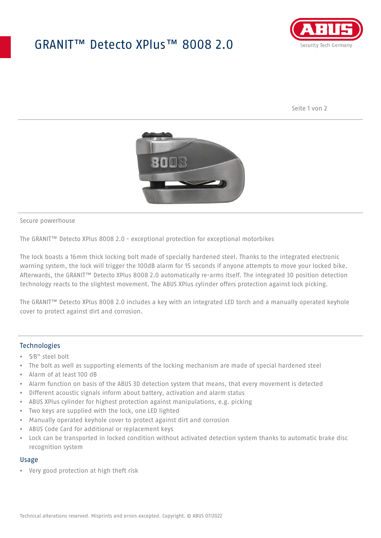## GRANIT™ Detecto XPlus™ 8008 2.0



Seite 1 von 2



Secure powerhouse

The GRANIT™ Detecto XPlus 8008 2.0 - exceptional protection for exceptional motorbikes

The lock boasts a 16mm thick locking bolt made of specially hardened steel. Thanks to the integrated electronic warning system, the lock will trigger the 100dB alarm for 15 seconds if anyone attempts to move your locked bike. Afterwards, the GRANIT™ Detecto XPlus 8008 2.0 automatically re-arms itself. The integrated 3D position detection technology reacts to the slightest movement. The ABUS XPlus cylinder offers protection against lock picking.

The GRANIT™ Detecto XPlus 8008 2.0 includes a key with an integrated LED torch and a manually operated keyhole cover to protect against dirt and corrosion.

### Technologies

- 5⁄8" steel bolt
- The bolt as well as supporting elements of the locking mechanism are made of special hardened steel
- Alarm of at least 100 dB
- Alarm function on basis of the ABUS 3D detection system that means, that every movement is detected
- Different acoustic signals inform about battery, activation and alarm status
- ABUS XPlus cylinder for highest protection against manipulations, e.g. picking
- Two keys are supplied with the lock, one LED lighted
- Manually operated keyhole cover to protect against dirt and corrosion
- ABUS Code Card for additional or replacement keys
- Lock can be transported in locked condition without activated detection system thanks to automatic brake disc recognition system

#### Usage

• Very good protection at high theft risk